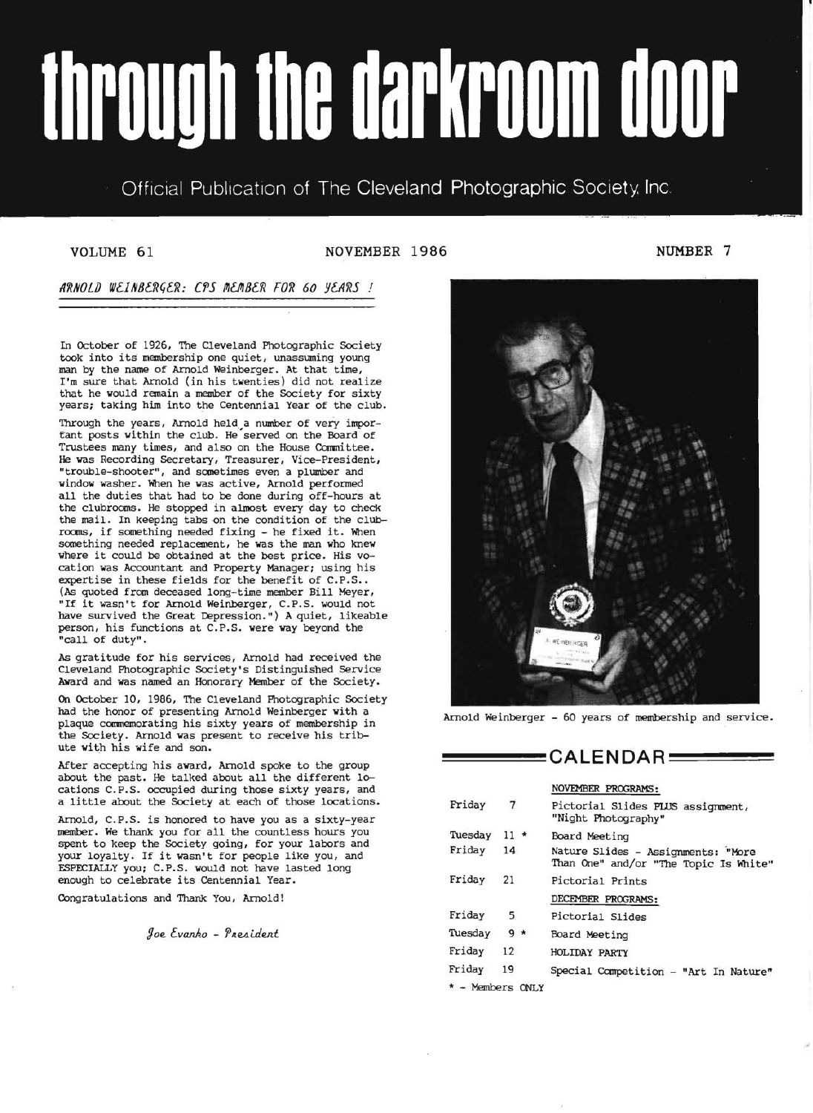# through the darkroom door

# Official Publication of The Cleveland Photographic Society. Inc.

VOLUME 61 NOVEMBER 1986

ARNOLD WEINBERGER: CPS MEMBER FOR 60 YEARS !

In October of 1926, The Cleveland Photographic Society took into its membership one quiet, unassuming young man by the name of Arnold Weinberger. At that time, I'm sure that Arnold (in his twenties) did not realize that he would remain a member of the Society for sixty years; taking him into the Centennial Year of the club.

Through the years, Arnold held a number of very important posts within the club. He served on the Board of Trustees many times, and also on the House Committee. He was Recording Secretary, Treasurer, Vice-President, "trouble-shooter", and sometimes even a plumber and window washer. When he was active, Arnold performed all the duties that had to be done during off-hours at the clubrooms. He stopped in almost every day to check the mail. In keeping tabs on the condition of the clubrooms, if something needed fixing - he fixed it. When something needed replacement, he was the man who knew where it could be obtained at the best price. His vocation was Accountant and Property Manager; using his (As quoted from deceased long-time member Bill Meyer, "If it wasn't for Arnold Weinberger, C.P.S. would not have survived the Great Depression.") A quiet, likeable person, his functions at C.P.S. were way beyond the "call of duty".

As gratitude for his services, Arnold had received the Cleveland Photographic Society's Distinguished Service Award and was named an Honorary Member of the Society.

On October 10, 1986, The Cleveland Photographic Society had the honor of presenting Arnold Weinberger with a plaque commemorating his sixty years of membership in the Society. Arnold was present to receive his tribute with his wife and son.

After accepting his award, Arnold spoke to the group about the past. He talked about all the different locations C.P.S. occupied during those sixty years, and a little about the Society at each of those locations.

Arnold, C.P.S. is honored to have *you* as a sixty-year member. We thank *you* for ail the countless hours *you*  spent to keep the Society going, for your labors and your loyalty. If it wasn't for people like *you,* and ESPECIALLY *you;* C.P.S. would not have lasted long enough to celebrate its Centennial Year.

Congratulations and Thank You, Arnold!

*floe tVaAAO* - *'PlleAi..den.t* 

1986 **NUMBER 7** 



Arnold Weinberger - 60 years of membership and service.

# $=$  CALENDAR  $=$

#### NOVEMBER PROGRAMS:

| Friday             | 7          | Pictorial Slides PLUS assignment,<br>"Night Photography"                    |
|--------------------|------------|-----------------------------------------------------------------------------|
| Tuesday            | $11 \star$ | Board Meeting                                                               |
| Friday             | 14         | Nature Slides - Assignments: "More<br>Than One" and/or "The Topic Is White" |
| Friday             | 21         | Pictorial Prints                                                            |
|                    |            | DECEMBER PROGRAMS:                                                          |
| Friday             | 5          | Pictorial Slides                                                            |
| Tuesday            | $9 *$      | Board Meeting                                                               |
| Friday             | 12         | <b>HOLIDAY PARTY</b>                                                        |
| Friday             | 19         | Special Competition - "Art In Nature"                                       |
| $*$ - Members ONLY |            |                                                                             |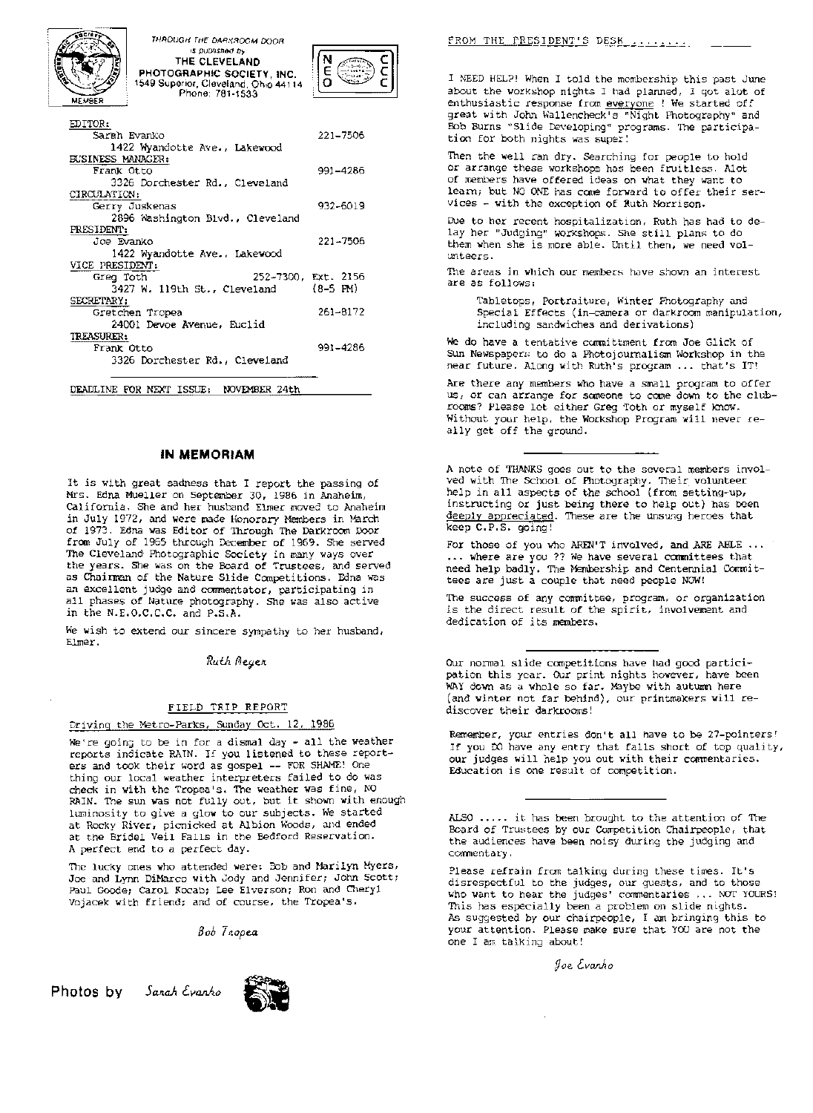

THROUGH THE DARKROOM DOOR ,s published by THE CLEVELAND PHOTOGRAPHIC SOCIETY, INC. 1549 Superior, Cleveland, Ohio 44114 Phone: 781-1533



| EDITOR:                                |            |
|----------------------------------------|------------|
| Sarah Evanko                           | 221-7506   |
| 1422 Wyandotte Ave., Lakewood          |            |
| BUSINESS MANAGER:                      |            |
| Frank Otto                             | 991-4286   |
| 3326 Dorchester Rd., Cleveland         |            |
| CIRCULATION:                           |            |
| Gerry Juskenas                         | 932-6019   |
| 2896 Washington Blvd., Cleveland       |            |
| PRESIDENT:                             |            |
| Joe Evanko                             | 221-7506   |
| 1422 Wyandotte Ave., Lakewood          |            |
| VICE PRESIDENT:                        |            |
| 252-7300, Ext. 2156<br>Greg Toth       |            |
| 3427 W. 119th St., Cleveland           | $(8-5$ PM) |
| SECRETARY;                             |            |
| Gretchen Tropea                        | 261-8172   |
| 24001 Devoe Avenue, Euclid             |            |
| <b>TREASURER:</b>                      |            |
| Frank Otto                             | 991-4286   |
| 3326 Dorchester Rd., Cleveland         |            |
|                                        |            |
| DEADLINE FOR NEXT ISSUE: NOVEMBER 24th |            |

#### **IN MEMORIAM**

It is with great sadness that I report the passing of Mrs. Edna Mueller on September 30, 1986 in Anaheim, California. She and her husband Elmer moved to Anaheim in July 1972, and were made Members in March of 1973. Edna was Editor of Through The Darkroom Door from July of 1965 through December of 1969. She served The Cleveland Photographic Society in many ways over the years. She was on the Board of Trustees, and served as Chairman of the Nature Slide Competitions. Edna was an excellent judge and commentator, participating in all phases of Nature photography. She was also active in the  $N.E.O.C.C.C.$  and  $P.S.A.$ 

We wish to extend our sincere sympathy to her husband, Elmer.

Ruth Meyer

#### FIELD TRIP REPORT

#### Driving the Metro-Parks, Sunday Oct. 12, 1986

to be in for a dismal day - all the weather reports indicate RAIN. If you listened to these reporters and took their word as gospel -- FOR SHAME! One thing our local weather interpreters failed to do was check in with the Tropea's. The weather was fine, NO RAIN. The sun was not fully out, but it shown with enough luminosity to give a glow to our subjects. We started at Rocky River, picnicked at Albion Woods, and ended at the Bridel Veil Falls in the Bedford Reservation. A perfect end to a perfect day.

The lucky ones who attended were: Bob and Marilyn Myers, Joe and Lynn DiMarco with Jody and Jennifer; John Scott; Paul Goode; Carol Kocabj Lee Elverson; Ron and Cheryl Vojacek with friend; and of course, the Tropea'S.

*Bob* 

Photos by Sanah Evanho



FROM THE PRESIDENT'S DESK ........

I NEED HELP! When I told the membership this past June about the workshop nights I had planned, I got alot of enthusiastic response from everyone ! We started off great with John Wallencheck's "Night Photography" and Bob Burns "Slide Developing" programs. The tion for both nights was super!

Then the well ran dry. Searching for people to hold or arrange these workshops has been fruitless. Alot of members have offered ideas on what they want to learn; but NO ONE has come forward to offer their services - with the exception of Ruth Morrison.

Due to her recent hospitalization, Ruth has had to delay her "Judging" workshops. She still plans to do them when is more able. Until then, we need volunteers.

The areas in which our members have shown an interest are as follows:

Tabletops, Portraiture, Winter Photography and Special Effects (in-camera or darkroom manipulation, including sandwiches and derivations)

We do have a tentative committment from Joe Glick of<br>Sun Newspapers to do a Photojournalism Workshop in the near future. Along with Ruth's program ... that's IT!

Are there any members who have a small program to offer us, or can arrange for someone to come down to the clubrooms? Please let either Greg Toth or myself know. Without your help, the Workshop Program will never really get off the ground.

A note of THANKS goes out to the several members inVOlved with The School of Their volunteer help in all aspects of the school (from setting-up, instructing or just being there to help out) has been deeply appreciated. These are the unsung heroes that keep C.P.S. going!

For those of you who AREN'T involved, and ARE ABLE ... ... where are you ?? We have several committees that need help badly. The Membership and Centennial Committees are just a couple that need people NOW!

The success of any committee, program, or organization is the direct result of the spirit, involvement and dedication of its members.

Our normal slide competitions have had good participation this year. Our print nights however, have been WAY down as a whole so far. Maybe with autumn here (and winter not far behind), our printmakers will rediscover their darkrooms!

Remember, your entries don't all have to be 27-pointers! If you DO have any entry that falls short of top quality, our judges will help you out with their commentaries. Education is one result of competition.

ALSO ••.•. it has been brought to the attention of The Board of Trustees by our Competition Chairpeople, that the audiences have been noisy during the judging and commentary.

Please refrain from talking during these times. It's disrespectful to the judges, our guests, and to those who want to hear the judges' commentaries ... NOT YOURS! This has especially been a problem on slide nights. As suggested by our chairpeople, I am bringing this to your attention. Please make sure that YOU are not the one I am talking about!

fJoe *tvaJl.k.o*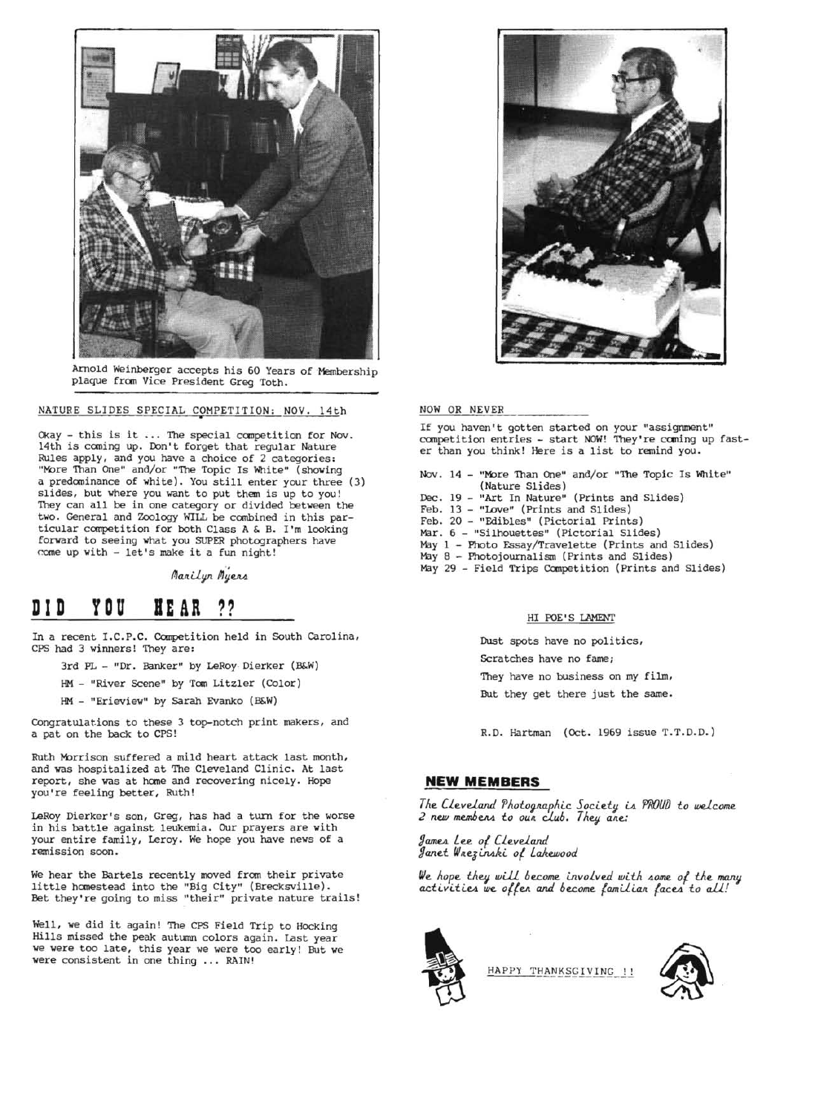

Arnold Weinberger accepts his 60 Years of Membership plaque from Vice President Greg Toth.

NATURE SLIDES SPECIAL COMPETITION: NOV. 14th

Okay - this is it ... The special competition for Nov. 14th is coming up. Don't forget that regular Nature Rules apply, and you have a choice of 2 categories: "More Than One" and/or "The Topic Is White" (showing a predominance of white). You still enter your three (3) slides, but where you want to put them is up to you! They can all be in one category or divided between the two. General and Zoology WILL be combined in this particular competition for both Class A & B. I'm looking forward to seeing what you SUPER photographers have come up with - let's make it a fun night!

*Marilyn Myers* 

# **DID YDU BEAR ??**

In a recent I.C.P.C. Competition held in South Carolina, CPS had 3 winners! They are:

- 3rd PL "Dr. Banker" by LeRoy-Dierker (B&W)
- HM "River Scene" by Tom Litzler (Color)
- HM "Erieview" by Sarah Evanko (B&W)

Congratulations to these 3 top-notch print makers, and a pat on the back to CPS!

Ruth Morrison suffered a mild heart attack last month, and was hospitalized at The Cleveland Clinic. At last report, she was at home and recovering nicely. Hope you're feeling better, Ruth!

LeRoy Dierker's son, Greg, has had a turn for the worse in his battle against leukemia. Our prayers are with your entire family, Leroy. We hope you have news of a remission soon.

We hear the Bartels recently moved from their private little hanestead into the "Big City" (Brecksville). Bet they're going to miss "their" private nature trails!

Well, we did it again! The CPS Field Trip to Hocking Hills missed the peak autumn colors again. Last year we were too late, this year we were too early! But we were consistent in one thing ... RAIN!



#### NOW OR NEVER

If you haven't gotten started on your "assignment" competition entries - start NOW! They're coming up faster than you think! Here is a list to remind you.

Nov. 14 - "More Than One" and/or "The Topic Is White" (Nature Slides) Dec. 19 - "Art In Nature" (Prints and Slides) Feb. 13 - "Love" (Prints and Slides)

- Feb. 20 "Edibles" (Pictorial Prints)
- Mar.  $6$  "Silhouettes" (Pictorial Slides)
- May 1 Photo Essay/Travelette (Prints and Slides)
- May 8 Photojournalism (Prints and Slides)
- May 29 Field Trips Competition (prints and Slides)

#### HI POE'S LAMENT

Dust spots have no politics, Scratches have no fame; They have no business on my film, But they get there just the same.

R.D. Hartman (Oct. 1969 issue T.T.D.D.)

#### **NEW MEMBERS**

*The CLeveland 'PhotolJllap'hi.c* Joci.etV iA *PROUf) to weLcome 2 neJU* m.embe.M. *to* OUI! *CJ..ub. Thev al!e:* 

*9QJTU!A Lee 01 CLeveland*  Janet Wnezinski of Lakewood

We *hope thev wUL become LnvoLved wi.th 40me of* the *manil*  activities we offer and become familiar faces to all!



HAPPY THANKSGIVING !!